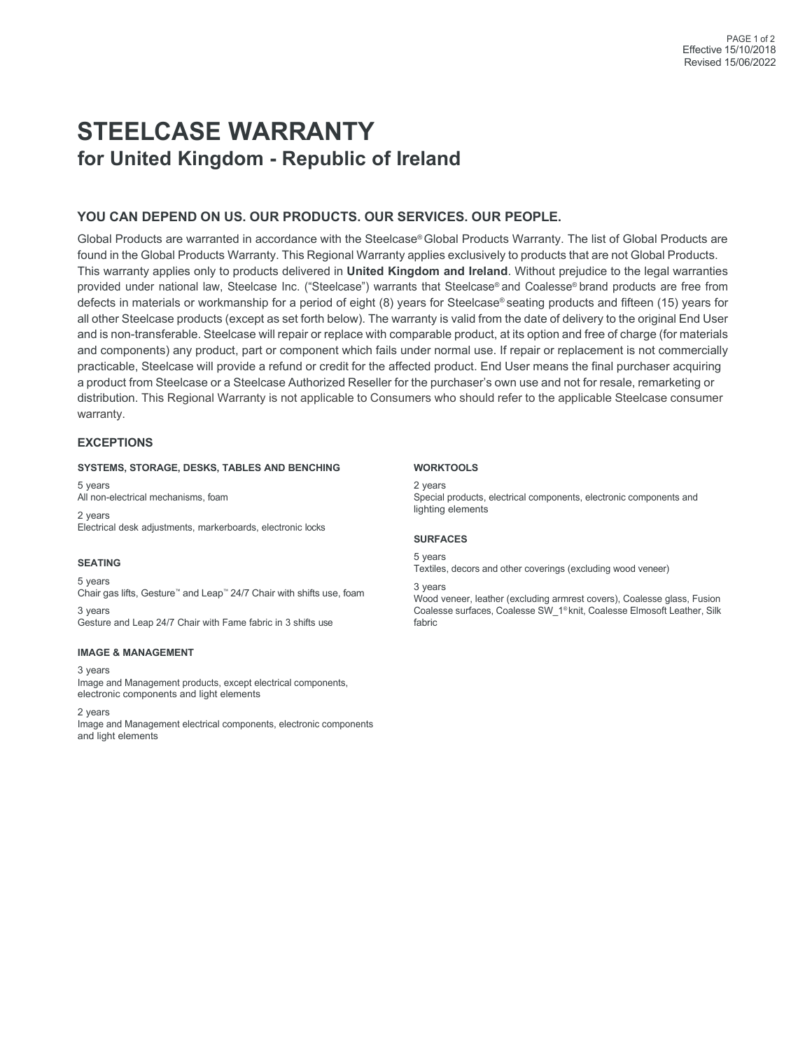# **STEELCASE WARRANTY for United Kingdom - Republic of Ireland**

### **YOU CAN DEPEND ON US. OUR PRODUCTS. OUR SERVICES. OUR PEOPLE.**

Global Products are warranted in accordance with the Steelcase®Global Products Warranty. The list of Global Products are found in the Global Products Warranty. This Regional Warranty applies exclusively to products that are not Global Products. This warranty applies only to products delivered in **United Kingdom and Ireland**. Without prejudice to the legal warranties provided under national law, Steelcase Inc. ("Steelcase") warrants that Steelcase® and Coalesse® brand products are free from defects in materials or workmanship for a period of eight (8) years for Steelcase® seating products and fifteen (15) years for all other Steelcase products (except as set forth below). The warranty is valid from the date of delivery to the original End User and is non-transferable. Steelcase will repair or replace with comparable product, at its option and free of charge (for materials and components) any product, part or component which fails under normal use. If repair or replacement is not commercially practicable, Steelcase will provide a refund or credit for the affected product. End User means the final purchaser acquiring a product from Steelcase or a Steelcase Authorized Reseller for the purchaser's own use and not for resale, remarketing or distribution. This Regional Warranty is not applicable to Consumers who should refer to the applicable Steelcase consumer warranty.

#### **EXCEPTIONS**

#### **SYSTEMS, STORAGE, DESKS, TABLES AND BENCHING**

5 years All non-electrical mechanisms, foam

2 years Electrical desk adjustments, markerboards, electronic locks

#### **SEATING**

5 years Chair gas lifts, Gesture™ and Leap™ 24/7 Chair with shifts use, foam

3 years Gesture and Leap 24/7 Chair with Fame fabric in 3 shifts use

#### **IMAGE & MANAGEMENT**

3 years

Image and Management products, except electrical components, electronic components and light elements

2 years

Image and Management electrical components, electronic components and light elements

#### **WORKTOOLS**

2 years Special products, electrical components, electronic components and lighting elements

#### **SURFACES**

5 years

Textiles, decors and other coverings (excluding wood veneer)

3 years

Wood veneer, leather (excluding armrest covers), Coalesse glass, Fusion Coalesse surfaces, Coalesse SW\_1® knit, Coalesse Elmosoft Leather, Silk fabric